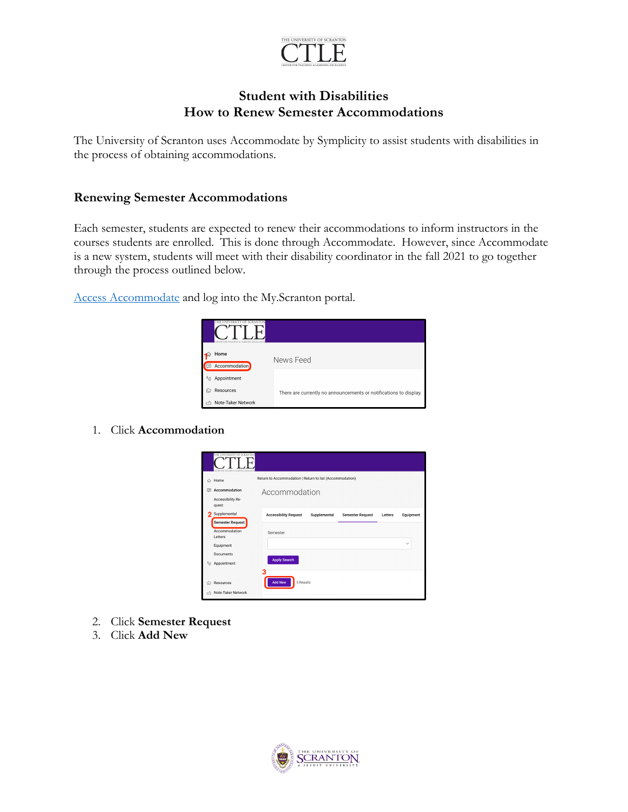

## **Student with Disabilities How to Renew Semester Accommodations**

The University of Scranton uses Accommodate by Symplicity to assist students with disabilities in the process of obtaining accommodations.

## **Renewing Semester Accommodations**

Each semester, students are expected to renew their accommodations to inform instructors in the courses students are enrolled. This is done through Accommodate. However, since Accommodate is a new system, students will meet with their disability coordinator in the fall 2021 to go together through the process outlined below.

Access Accommodate and log into the My.Scranton portal.



1. Click **Accommodation**



- 2. Click **Semester Request**
- 3. Click **Add New**

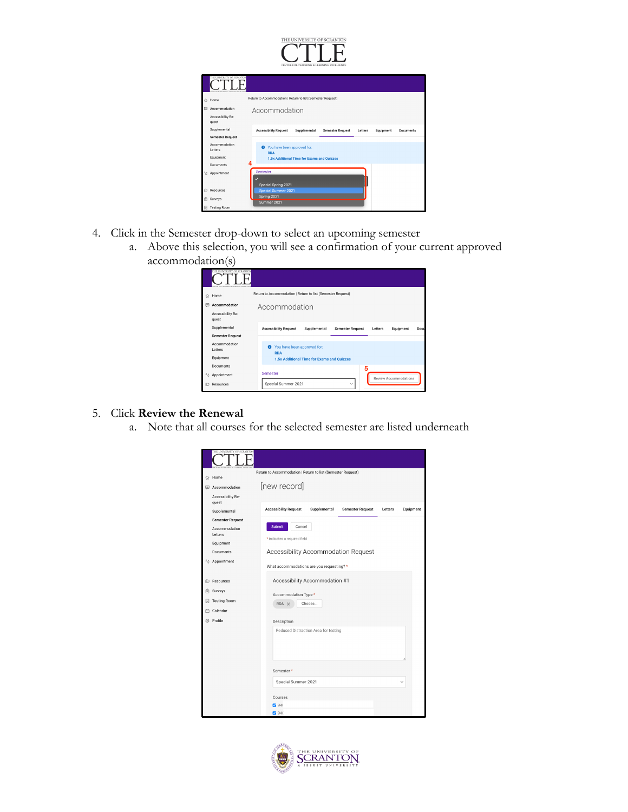

|     | THE UNIVERSITY OF SCRANTC  |                                                                                                                     |  |  |  |  |  |  |
|-----|----------------------------|---------------------------------------------------------------------------------------------------------------------|--|--|--|--|--|--|
| ♤   | Home                       | Return to Accommodation   Return to list (Semester Request)                                                         |  |  |  |  |  |  |
| Θ   | Accommodation              | Accommodation                                                                                                       |  |  |  |  |  |  |
|     | Accessibility Re-<br>quest |                                                                                                                     |  |  |  |  |  |  |
|     | Supplemental               | <b>Accessibility Request</b><br>Supplemental<br><b>Semester Request</b><br>Equipment<br>Letters<br><b>Documents</b> |  |  |  |  |  |  |
|     | <b>Semester Request</b>    |                                                                                                                     |  |  |  |  |  |  |
|     | Accommodation<br>Letters   | <sup>O</sup> You have been approved for:<br><b>RDA</b>                                                              |  |  |  |  |  |  |
|     | Equipment                  | 1.5x Additional Time for Exams and Ouizzes                                                                          |  |  |  |  |  |  |
|     | 4<br><b>Documents</b>      |                                                                                                                     |  |  |  |  |  |  |
| 58  | Appointment                | Semester<br>v                                                                                                       |  |  |  |  |  |  |
| ıСэ | Resources                  | Special Spring 2021<br><b>Special Summer 2021</b>                                                                   |  |  |  |  |  |  |
| Ê   | Surveys                    | Spring 2021<br>Summer 2021                                                                                          |  |  |  |  |  |  |
| 関   | <b>Testing Room</b>        |                                                                                                                     |  |  |  |  |  |  |

- 4. Click in the Semester drop-down to select an upcoming semester
	- a. Above this selection, you will see a confirmation of your current approved accommodation(s)

|    | THE UNIVERSITY OF SCRANTON                  |                                                             |                                            |                         |         |                              |      |  |
|----|---------------------------------------------|-------------------------------------------------------------|--------------------------------------------|-------------------------|---------|------------------------------|------|--|
| ♤  | Home                                        | Return to Accommodation   Return to list (Semester Request) |                                            |                         |         |                              |      |  |
| (  | Accommodation<br>Accessibility Re-<br>quest | Accommodation                                               |                                            |                         |         |                              |      |  |
|    | Supplemental<br><b>Semester Request</b>     | <b>Accessibility Request</b>                                | Supplemental                               | <b>Semester Request</b> | Letters | Equipment                    | Docu |  |
|    | Accommodation<br>Letters<br>Equipment       | You have been approved for:<br>◉<br><b>RDA</b>              | 1.5x Additional Time for Exams and Quizzes |                         |         |                              |      |  |
| 58 | Documents<br>Appointment                    | Semester                                                    |                                            | 5<br>$\checkmark$       |         | <b>Review Accommodations</b> |      |  |
| ıÒ | Resources                                   | Special Summer 2021                                         |                                            |                         |         |                              |      |  |

## 5. Click **Review the Renewal**

a. Note that all courses for the selected semester are listed underneath